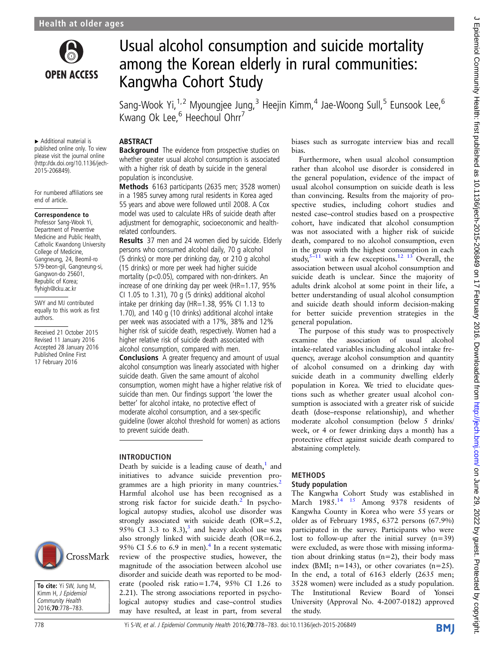

# Usual alcohol consumption and suicide mortality among the Korean elderly in rural communities: Kangwha Cohort Study

Sang-Wook Yi, $^{1,2}$  Myoungjee Jung, $^3$  Heejin Kimm, $^4$  Jae-Woong Sull, $^5$  Eunsook Lee, $^6$ Kwang Ok Lee,<sup>6</sup> Heechoul Ohrr<sup>7</sup>

▸ Additional material is published online only. To view please visit the journal online [\(http://dx.doi.org/10.1136/jech-](http://dx.doi.org/10.1136/jech-2015-206849)[2015-206849\)](http://dx.doi.org/10.1136/jech-2015-206849).

**ABSTRACT** 

population is inconclusive.

related confounders.

to prevent suicide death.

INTRODUCTION

**Background** The evidence from prospective studies on whether greater usual alcohol consumption is associated with a higher risk of death by suicide in the general

Methods 6163 participants (2635 men; 3528 women) in a 1985 survey among rural residents in Korea aged 55 years and above were followed until 2008. A Cox model was used to calculate HRs of suicide death after adjustment for demographic, socioeconomic and health-

Results 37 men and 24 women died by suicide. Elderly persons who consumed alcohol daily, 70 g alcohol (5 drinks) or more per drinking day, or 210 g alcohol (15 drinks) or more per week had higher suicide mortality (p<0.05), compared with non-drinkers. An increase of one drinking day per week (HR=1.17, 95% CI 1.05 to 1.31), 70 g (5 drinks) additional alcohol intake per drinking day (HR=1.38, 95% CI 1.13 to 1.70), and 140 g (10 drinks) additional alcohol intake per week was associated with a 17%, 38% and 12% higher risk of suicide death, respectively. Women had a higher relative risk of suicide death associated with alcohol consumption, compared with men.

**Conclusions** A greater frequency and amount of usual alcohol consumption was linearly associated with higher suicide death. Given the same amount of alcohol consumption, women might have a higher relative risk of suicide than men. Our findings support 'the lower the better' for alcohol intake, no protective effect of moderate alcohol consumption, and a sex-specific guideline (lower alcohol threshold for women) as actions

Death by suicide is a leading cause of death, $<sup>1</sup>$  $<sup>1</sup>$  $<sup>1</sup>$  and</sup> initiatives to advance suicide prevention pro-grammes are a high priority in many countries.<sup>[2](#page-5-0)</sup> Harmful alcohol use has been recognised as a strong risk factor for suicide death.<sup>[2](#page-5-0)</sup> In psychological autopsy studies, alcohol use disorder was strongly associated with suicide death (OR=5.2, 95% CI 3.3 to 8.3),<sup>3</sup> and heavy alcohol use was also strongly linked with suicide death (OR=6.2, 95% CI 5.6 to 6.9 in men).<sup>[4](#page-5-0)</sup> In a recent systematic review of the prospective studies, however, the magnitude of the association between alcohol use disorder and suicide death was reported to be moderate (pooled risk ratio=1.74, 95% CI 1.26 to 2.21). The strong associations reported in psychological autopsy studies and case–control studies may have resulted, at least in part, from several

For numbered affiliations see end of article.

### Correspondence to

Professor Sang-Wook Yi, Department of Preventive Medicine and Public Health, Catholic Kwandong University College of Medicine, Gangneung, 24, Beomil-ro 579-beon-gil, Gangneung-si, Gangwon-do 25601, Republic of Korea; flyhigh@cku.ac.kr

SWY and MJ contributed equally to this work as first authors.

Received 21 October 2015 Revised 11 January 2016 Accepted 28 January 2016 Published Online First 17 February 2016



To cite: Yi SW, Jung M, Kimm H, J Epidemiol Community Health 2016;70:778–783.

### 778 Yi S-W, et al. J Epidemiol Community Health 2016;70:778–783. doi:10.1136/jech-2015-206849

biases such as surrogate interview bias and recall bias.

Furthermore, when usual alcohol consumption rather than alcohol use disorder is considered in the general population, evidence of the impact of usual alcohol consumption on suicide death is less than convincing. Results from the majority of prospective studies, including cohort studies and nested case–control studies based on a prospective cohort, have indicated that alcohol consumption was not associated with a higher risk of suicide death, compared to no alcohol consumption, even in the group with the highest consumption in each study,  $5-11$  $5-11$  with a few exceptions.<sup>[12 13](#page-5-0)</sup> Overall, the association between usual alcohol consumption and suicide death is unclear. Since the majority of adults drink alcohol at some point in their life, a better understanding of usual alcohol consumption and suicide death should inform decision-making for better suicide prevention strategies in the general population.

The purpose of this study was to prospectively examine the association of usual alcohol intake-related variables including alcohol intake frequency, average alcohol consumption and quantity of alcohol consumed on a drinking day with suicide death in a community dwelling elderly population in Korea. We tried to elucidate questions such as whether greater usual alcohol consumption is associated with a greater risk of suicide death (dose–response relationship), and whether moderate alcohol consumption (below 5 drinks/ week, or 4 or fewer drinking days a month) has a protective effect against suicide death compared to abstaining completely.

## METHODS

### Study population

The Kangwha Cohort Study was established in March 1985.<sup>14 15</sup> Among 9378 residents of Kangwha County in Korea who were 55 years or older as of February 1985, 6372 persons (67.9%) participated in the survey. Participants who were lost to follow-up after the initial survey  $(n=39)$ were excluded, as were those with missing information about drinking status  $(n=2)$ , their body mass index (BMI;  $n=143$ ), or other covariates  $(n=25)$ . In the end, a total of 6163 elderly (2635 men; 3528 women) were included as a study population. The Institutional Review Board of Yonsei University (Approval No. 4-2007-0182) approved the study.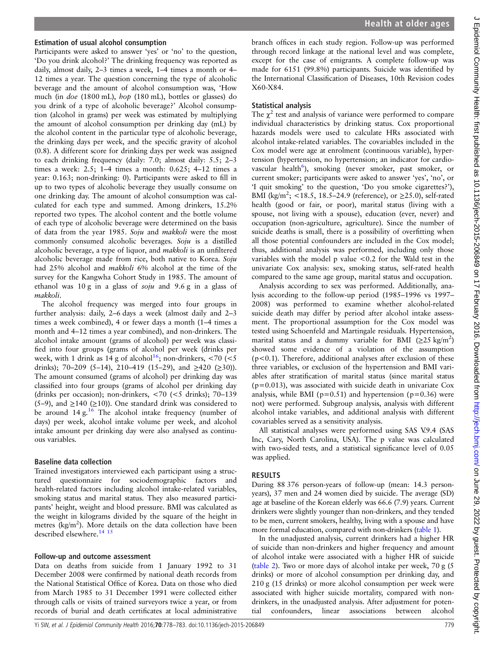### Estimation of usual alcohol consumption

Participants were asked to answer 'yes' or 'no' to the question, 'Do you drink alcohol?' The drinking frequency was reported as daily, almost daily, 2–3 times a week, 1–4 times a month or 4– 12 times a year. The question concerning the type of alcoholic beverage and the amount of alcohol consumption was, 'How much (in doe (1800 mL), hop (180 mL), bottles or glasses) do you drink of a type of alcoholic beverage?' Alcohol consumption (alcohol in grams) per week was estimated by multiplying the amount of alcohol consumption per drinking day (mL) by the alcohol content in the particular type of alcoholic beverage, the drinking days per week, and the specific gravity of alcohol (0.8). A different score for drinking days per week was assigned to each drinking frequency (daily: 7.0; almost daily: 5.5; 2–3 times a week: 2.5; 1–4 times a month: 0.625; 4–12 times a year: 0.163; non-drinking: 0). Participants were asked to fill in up to two types of alcoholic beverage they usually consume on one drinking day. The amount of alcohol consumption was calculated for each type and summed. Among drinkers, 15.2% reported two types. The alcohol content and the bottle volume of each type of alcoholic beverage were determined on the basis of data from the year 1985. Soju and makkoli were the most commonly consumed alcoholic beverages. Soju is a distilled alcoholic beverage, a type of liquor, and makkoli is an unfiltered alcoholic beverage made from rice, both native to Korea. Soju had 25% alcohol and makkoli 6% alcohol at the time of the survey for the Kangwha Cohort Study in 1985. The amount of ethanol was 10 g in a glass of soju and 9.6 g in a glass of makkoli.

The alcohol frequency was merged into four groups in further analysis: daily, 2–6 days a week (almost daily and 2–3 times a week combined), 4 or fewer days a month (1–4 times a month and 4–12 times a year combined), and non-drinkers. The alcohol intake amount (grams of alcohol) per week was classified into four groups (grams of alcohol per week (drinks per week, with 1 drink as 14 g of alcohol<sup>[16](#page-5-0)</sup>; non-drinkers, <70 (<5 drinks); 70–209 (5–14), 210–419 (15–29), and  $\geq$ 420 ( $\geq$ 30)). The amount consumed (grams of alcohol) per drinking day was classified into four groups (grams of alcohol per drinking day (drinks per occasion); non-drinkers, <70 (<5 drinks); 70–139 (5–9), and  $\geq$ 140 ( $\geq$ 10)). One standard drink was considered to be around  $14 g<sup>16</sup>$ . The alcohol intake frequency (number of days) per week, alcohol intake volume per week, and alcohol intake amount per drinking day were also analysed as continuous variables.

### Baseline data collection

Trained investigators interviewed each participant using a structured questionnaire for sociodemographic factors and health-related factors including alcohol intake-related variables, smoking status and marital status. They also measured participants' height, weight and blood pressure. BMI was calculated as the weight in kilograms divided by the square of the height in metres (kg/m<sup>2</sup>). More details on the data collection have been described elsewhere.<sup>14 15</sup>

### Follow-up and outcome assessment

Data on deaths from suicide from 1 January 1992 to 31 December 2008 were confirmed by national death records from the National Statistical Office of Korea. Data on those who died from March 1985 to 31 December 1991 were collected either through calls or visits of trained surveyors twice a year, or from records of burial and death certificates at local administrative branch offices in each study region. Follow-up was performed through record linkage at the national level and was complete, except for the case of emigrants. A complete follow-up was made for 6151 (99.8%) participants. Suicide was identified by the International Classification of Diseases, 10th Revision codes X60-X84.

### Statistical analysis

The  $\chi^2$  test and analysis of variance were performed to compare individual characteristics by drinking status. Cox proportional hazards models were used to calculate HRs associated with alcohol intake-related variables. The covariables included in the Cox model were age at enrolment (continuous variable), hypertension (hypertension, no hypertension; an indicator for cardio-vascular health<sup>[6](#page-5-0)</sup>), smoking (never smoker, past smoker, or current smoker; participants were asked to answer 'yes', 'no', or 'I quit smoking' to the question, 'Do you smoke cigarettes?'), BMI (kg/m<sup>2</sup>; <18.5, 18.5–24.9 (reference), or  $\geq$ 25.0), self-rated health (good or fair, or poor), marital status (living with a spouse, not living with a spouse), education (ever, never) and occupation (non-agriculture, agriculture). Since the number of suicide deaths is small, there is a possibility of overfitting when all those potential confounders are included in the Cox model; thus, additional analysis was performed, including only those variables with the model p value <0.2 for the Wald test in the univariate Cox analysis: sex, smoking status, self-rated health compared to the same age group, marital status and occupation.

Analysis according to sex was performed. Additionally, analysis according to the follow-up period (1985–1996 vs 1997– 2008) was performed to examine whether alcohol-related suicide death may differ by period after alcohol intake assessment. The proportional assumption for the Cox model was tested using Schoenfeld and Martingale residuals. Hypertension, marital status and a dummy variable for BMI ( $\geq$ 25 kg/m<sup>2</sup>) showed some evidence of a violation of the assumption (p<0.1). Therefore, additional analyses after exclusion of these three variables, or exclusion of the hypertension and BMI variables after stratification of marital status (since marital status  $(p=0.013)$ , was associated with suicide death in univariate Cox analysis, while BMI ( $p=0.51$ ) and hypertension ( $p=0.36$ ) were not) were performed. Subgroup analysis, analysis with different alcohol intake variables, and additional analysis with different covariables served as a sensitivity analysis.

All statistical analyses were performed using SAS V.9.4 (SAS Inc, Cary, North Carolina, USA). The p value was calculated with two-sided tests, and a statistical significance level of 0.05 was applied.

### RESULTS

During 88 376 person-years of follow-up (mean: 14.3 personyears), 37 men and 24 women died by suicide. The average (SD) age at baseline of the Korean elderly was 66.6 (7.9) years. Current drinkers were slightly younger than non-drinkers, and they tended to be men, current smokers, healthy, living with a spouse and have more formal education, compared with non-drinkers [\(table 1](#page-2-0)).

In the unadjusted analysis, current drinkers had a higher HR of suicide than non-drinkers and higher frequency and amount of alcohol intake were associated with a higher HR of suicide ([table 2\)](#page-3-0). Two or more days of alcohol intake per week, 70 g (5 drinks) or more of alcohol consumption per drinking day, and 210 g (15 drinks) or more alcohol consumption per week were associated with higher suicide mortality, compared with nondrinkers, in the unadjusted analysis. After adjustment for potential confounders, linear associations between alcohol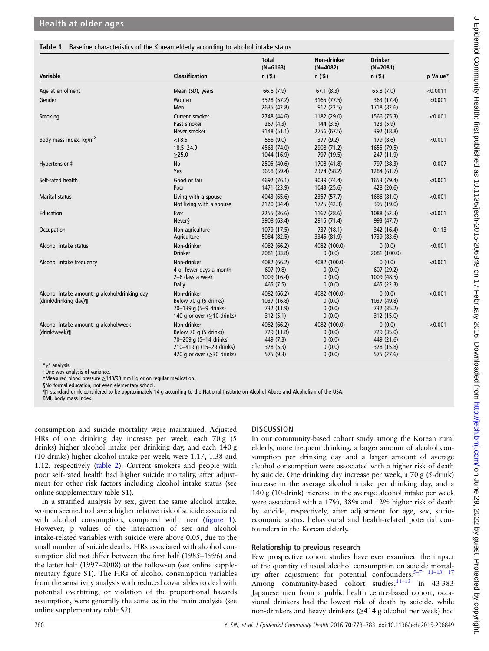### <span id="page-2-0"></span>Table 1 Baseline characteristics of the Korean elderly according to alcohol intake status

|                                                                        |                                                                                                                                          | <b>Total</b><br>$(N=6163)$                                       | <b>Non-drinker</b><br>$(N=4082)$                     | <b>Drinker</b><br>$(N=2081)$                                   |             |
|------------------------------------------------------------------------|------------------------------------------------------------------------------------------------------------------------------------------|------------------------------------------------------------------|------------------------------------------------------|----------------------------------------------------------------|-------------|
| Variable                                                               | <b>Classification</b>                                                                                                                    | $n$ (%)                                                          | $n$ (%)                                              | $n$ (%)                                                        | p Value*    |
| Age at enrolment                                                       | Mean (SD), years                                                                                                                         | 66.6(7.9)                                                        | 67.1(8.3)                                            | 65.8(7.0)                                                      | $< 0.001$ † |
| Gender                                                                 | Women<br><b>Men</b>                                                                                                                      | 3528 (57.2)<br>2635 (42.8)                                       | 3165 (77.5)<br>917 (22.5)                            | 363 (17.4)<br>1718 (82.6)                                      | < 0.001     |
| Smoking                                                                | Current smoker<br>Past smoker<br>Never smoker                                                                                            | 2748 (44.6)<br>267(4.3)<br>3148 (51.1)                           | 1182 (29.0)<br>144(3.5)<br>2756 (67.5)               | 1566 (75.3)<br>123(5.9)<br>392 (18.8)                          | < 0.001     |
| Body mass index, kg/m <sup>2</sup>                                     | < 18.5<br>$18.5 - 24.9$<br>>25.0                                                                                                         | 556 (9.0)<br>4563 (74.0)<br>1044 (16.9)                          | 377(9.2)<br>2908 (71.2)<br>797 (19.5)                | 179(8.6)<br>1655 (79.5)<br>247 (11.9)                          | < 0.001     |
| Hypertension‡                                                          | <b>No</b><br>Yes                                                                                                                         | 2505 (40.6)<br>3658 (59.4)                                       | 1708 (41.8)<br>2374 (58.2)                           | 797 (38.3)<br>1284 (61.7)                                      | 0.007       |
| Self-rated health                                                      | Good or fair<br>Poor                                                                                                                     | 4692 (76.1)<br>1471 (23.9)                                       | 3039 (74.4)<br>1043 (25.6)                           | 1653 (79.4)<br>428 (20.6)                                      | < 0.001     |
| <b>Marital status</b>                                                  | Living with a spouse<br>Not living with a spouse                                                                                         | 4043 (65.6)<br>2120 (34.4)                                       | 2357 (57.7)<br>1725 (42.3)                           | 1686 (81.0)<br>395 (19.0)                                      | < 0.001     |
| Education                                                              | Ever<br><b>Never</b> §                                                                                                                   | 2255 (36.6)<br>3908 (63.4)                                       | 1167 (28.6)<br>2915 (71.4)                           | 1088 (52.3)<br>993 (47.7)                                      | < 0.001     |
| Occupation                                                             | Non-agriculture<br>Agriculture                                                                                                           | 1079 (17.5)<br>5084 (82.5)                                       | 737 (18.1)<br>3345 (81.9)                            | 342 (16.4)<br>1739 (83.6)                                      | 0.113       |
| Alcohol intake status                                                  | Non-drinker<br><b>Drinker</b>                                                                                                            | 4082 (66.2)<br>2081 (33.8)                                       | 4082 (100.0)<br>0(0.0)                               | 0(0.0)<br>2081 (100.0)                                         | < 0.001     |
| Alcohol intake frequency                                               | Non-drinker<br>4 or fewer days a month<br>2-6 days a week<br>Daily                                                                       | 4082 (66.2)<br>607 (9.8)<br>1009 (16.4)<br>465 (7.5)             | 4082 (100.0)<br>0(0.0)<br>0(0.0)<br>0(0.0)           | 0(0.0)<br>607 (29.2)<br>1009 (48.5)<br>465 (22.3)              | < 0.001     |
| Alcohol intake amount, g alcohol/drinking day<br>(drink/drinking day)¶ | Non-drinker<br>Below 70 q (5 drinks)<br>70-139 g (5-9 drinks)<br>140 g or over (≥10 drinks)                                              | 4082 (66.2)<br>1037 (16.8)<br>732 (11.9)<br>312(5.1)             | 4082 (100.0)<br>0(0.0)<br>0(0.0)<br>0(0.0)           | 0(0.0)<br>1037 (49.8)<br>732 (35.2)<br>312 (15.0)              | < 0.001     |
| Alcohol intake amount, g alcohol/week<br>(drink/week)¶                 | Non-drinker<br>Below 70 q (5 drinks)<br>70-209 g (5-14 drinks)<br>210-419 g (15-29 drinks)<br>420 g or over $( \geq 30 \text{ drinks} )$ | 4082 (66.2)<br>729 (11.8)<br>449 (7.3)<br>328 (5.3)<br>575 (9.3) | 4082 (100.0)<br>0(0.0)<br>0(0.0)<br>0(0.0)<br>0(0.0) | 0(0.0)<br>729 (35.0)<br>449 (21.6)<br>328 (15.8)<br>575 (27.6) | < 0.001     |

 $x^2$  analysis.

†One-way analysis of variance. ‡Measured blood pressure ≥140/90 mm Hg or on regular medication.

§No formal education, not even elementary school.

¶1 standard drink considered to be approximately 14 g according to the National Institute on Alcohol Abuse and Alcoholism of the USA.

BMI, body mass index.

consumption and suicide mortality were maintained. Adjusted HRs of one drinking day increase per week, each 70 g (5 drinks) higher alcohol intake per drinking day, and each 140 g (10 drinks) higher alcohol intake per week, were 1.17, 1.38 and 1.12, respectively [\(table 2\)](#page-3-0). Current smokers and people with poor self-rated health had higher suicide mortality, after adjustment for other risk factors including alcohol intake status (see online supplementary table S1).

In a stratified analysis by sex, given the same alcohol intake, women seemed to have a higher relative risk of suicide associated with alcohol consumption, compared with men (fi[gure 1](#page-3-0)). However, p values of the interaction of sex and alcohol intake-related variables with suicide were above 0.05, due to the small number of suicide deaths. HRs associated with alcohol consumption did not differ between the first half (1985–1996) and the latter half (1997–2008) of the follow-up (see online supplementary figure S1). The HRs of alcohol consumption variables from the sensitivity analysis with reduced covariables to deal with potential overfitting, or violation of the proportional hazards assumption, were generally the same as in the main analysis (see online supplementary table S2).

### **DISCUSSION**

In our community-based cohort study among the Korean rural elderly, more frequent drinking, a larger amount of alcohol consumption per drinking day and a larger amount of average alcohol consumption were associated with a higher risk of death by suicide. One drinking day increase per week, a 70 g (5-drink) increase in the average alcohol intake per drinking day, and a 140 g (10-drink) increase in the average alcohol intake per week were associated with a 17%, 38% and 12% higher risk of death by suicide, respectively, after adjustment for age, sex, socioeconomic status, behavioural and health-related potential confounders in the Korean elderly.

### Relationship to previous research

Few prospective cohort studies have ever examined the impact of the quantity of usual alcohol consumption on suicide mortality after adjustment for potential confounders.<sup>5-7</sup> <sup>11-13</sup> <sup>17</sup> Among community-based cohort studies,  $11-13$  $11-13$  in 43 383 Japanese men from a public health centre-based cohort, occasional drinkers had the lowest risk of death by suicide, while non-drinkers and heavy drinkers (≥414 g alcohol per week) had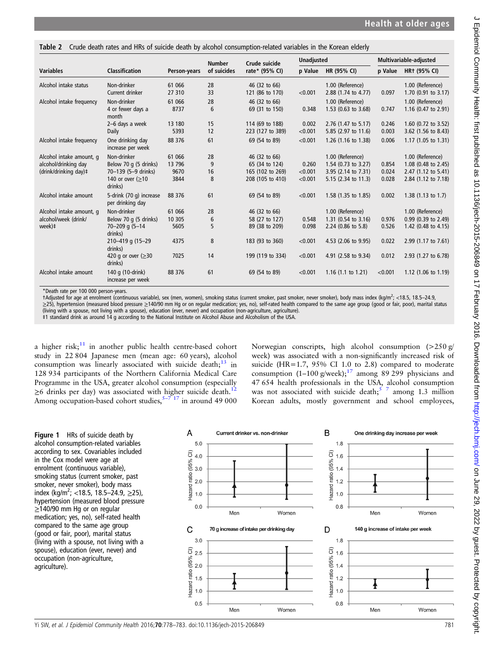<span id="page-3-0"></span>Table 2 Crude death rates and HRs of suicide death by alcohol consumption-related variables in the Korean elderly

| <b>Variables</b>         | <b>Classification</b>                       | Person-years | <b>Number</b><br>of suicides | Crude suicide<br>rate* (95% CI) | <b>Unadjusted</b> |                       | Multivariable-adjusted |                                |
|--------------------------|---------------------------------------------|--------------|------------------------------|---------------------------------|-------------------|-----------------------|------------------------|--------------------------------|
|                          |                                             |              |                              |                                 | p Value           | HR (95% CI)           | p Value                | <b>HR+ (95% CI)</b>            |
| Alcohol intake status    | Non-drinker                                 | 61 066       | 28                           | 46 (32 to 66)                   |                   | 1.00 (Reference)      |                        | 1.00 (Reference)               |
|                          | Current drinker                             | 27 310       | 33                           | 121 (86 to 170)                 | < 0.001           | 2.88 (1.74 to 4.77)   | 0.097                  | $1.70$ (0.91 to 3.17)          |
| Alcohol intake frequency | Non-drinker                                 | 61 066       | 28                           | 46 (32 to 66)                   |                   | 1.00 (Reference)      |                        | 1.00 (Reference)               |
|                          | 4 or fewer days a<br>month                  | 8737         | 6                            | 69 (31 to 150)                  | 0.348             | $1.53$ (0.63 to 3.68) | 0.747                  | 1.16 (0.47 to 2.91)            |
|                          | 2-6 days a week                             | 13 180       | 15                           | 114 (69 to 188)                 | 0.002             | 2.76 (1.47 to 5.17)   | 0.246                  | 1.60 (0.72 to 3.52)            |
|                          | Daily                                       | 5393         | 12                           | 223 (127 to 389)                | < 0.001           | 5.85 (2.97 to 11.6)   | 0.003                  | 3.62 (1.56 to 8.43)            |
| Alcohol intake frequency | One drinking day<br>increase per week       | 88 376       | 61                           | 69 (54 to 89)                   | < 0.001           | 1.26 (1.16 to 1.38)   | 0.006                  | 1.17 (1.05 to 1.31)            |
| Alcohol intake amount, q | Non-drinker                                 | 61 066       | 28                           | 46 (32 to 66)                   |                   | 1.00 (Reference)      |                        | 1.00 (Reference)               |
| alcohol/drinking day     | Below 70 g (5 drinks)                       | 13 796       | 9                            | 65 (34 to 124)                  | 0.260             | 1.54 $(0.73$ to 3.27) | 0.854                  | 1.08 (0.48 to 2.45)            |
| (drink/drinking day)#    | 70-139 (5-9 drinks)                         | 9670         | 16                           | 165 (102 to 269)                | < 0.001           | 3.95 (2.14 to 7.31)   | 0.024                  | 2.47 (1.12 to 5.41)            |
|                          | 140 or over (>10<br>drinks)                 | 3844         | 8                            | 208 (105 to 410)                | < 0.001           | 5.15 (2.34 to 11.3)   | 0.028                  | 2.84 (1.12 to 7.18)            |
| Alcohol intake amount    | 5-drink (70 g) increase<br>per drinking day | 88 376       | 61                           | 69 (54 to 89)                   | < 0.001           | 1.58 (1.35 to 1.85)   | 0.002                  | 1.38 $(1.13$ to 1.7)           |
| Alcohol intake amount, q | Non-drinker                                 | 61 066       | 28                           | 46 (32 to 66)                   |                   | 1.00 (Reference)      |                        | 1.00 (Reference)               |
| alcohol/week (drink/     | Below 70 g (5 drinks)                       | 10 30 5      | 6                            | 58 (27 to 127)                  | 0.548             | 1.31 (0.54 to 3.16)   | 0.976                  | 0.99 (0.39 to 2.49)            |
| week)‡                   | 70-209 g (5-14<br>drinks)                   | 5605         | 5                            | 89 (38 to 209)                  | 0.098             | 2.24 (0.86 to 5.8)    | 0.526                  | 1.42 (0.48 to 4.15)            |
|                          | 210-419 g (15-29)<br>drinks)                | 4375         | 8                            | 183 (93 to 360)                 | < 0.001           | 4.53 (2.06 to 9.95)   | 0.022                  | 2.99 (1.17 to 7.61)            |
|                          | 420 g or over $( \geq 30$<br>drinks)        | 7025         | 14                           | 199 (119 to 334)                | < 0.001           | 4.91 (2.58 to 9.34)   | 0.012                  | 2.93 (1.27 to 6.78)            |
| Alcohol intake amount    | 140 g (10-drink)<br>increase per week       | 88 376       | 61                           | 69 (54 to 89)                   | < 0.001           | 1.16 $(1.1$ to 1.21)  | < 0.001                | 1.12 $(1.06 \text{ to } 1.19)$ |

\*Death rate per 100 000 person-years.

†Adjusted for age at enrolment (continuous variable), sex (men, women), smoking status (current smoker, past smoker, never smoker), body mass index (kg/m<sup>2</sup> ; <18.5, 18.5–24.9, ≥25), hypertension (measured blood pressure ≥140/90 mm Hg or on regular medication; yes, no), self-rated health compared to the same age group (good or fair, poor), marital status (living with a spouse, not living with a spouse), education (ever, never) and occupation (non-agriculture, agriculture).

‡1 standard drink as around 14 g according to the National Institute on Alcohol Abuse and Alcoholism of the USA.

a higher risk; $11$  in another public health centre-based cohort study in 22 804 Japanese men (mean age: 60 years), alcohol consumption was linearly associated with suicide death; $13$  in 128 934 participants of the Northern California Medical Care Programme in the USA, greater alcohol consumption (especially ≥6 drinks per day) was associated with higher suicide death.<sup>12</sup> Among occupation-based cohort studies,  $5-717$  $5-717$  in around 49 000

Norwegian conscripts, high alcohol consumption (>250 g/ week) was associated with a non-significantly increased risk of suicide (HR=1.7,  $95\%$  CI 1.0 to 2.8) compared to moderate consumption (1–100 g/week);<sup>17</sup> among 89 299 physicians and 47 654 health professionals in the USA, alcohol consumption was not associated with suicide death;  $5\frac{7}{7}$  among 1.3 million Korean adults, mostly government and school employees,

Figure 1 HRs of suicide death by alcohol consumption-related variables according to sex. Covariables included in the Cox model were age at enrolment (continuous variable), smoking status (current smoker, past smoker, never smoker), body mass index (kg/m<sup>2</sup>; <18.5, 18.5–24.9,  $\geq$ 25), hypertension (measured blood pressure ≥140/90 mm Hg or on regular medication; yes, no), self-rated health compared to the same age group (good or fair, poor), marital status (living with a spouse, not living with a spouse), education (ever, never) and occupation (non-agriculture, agriculture).

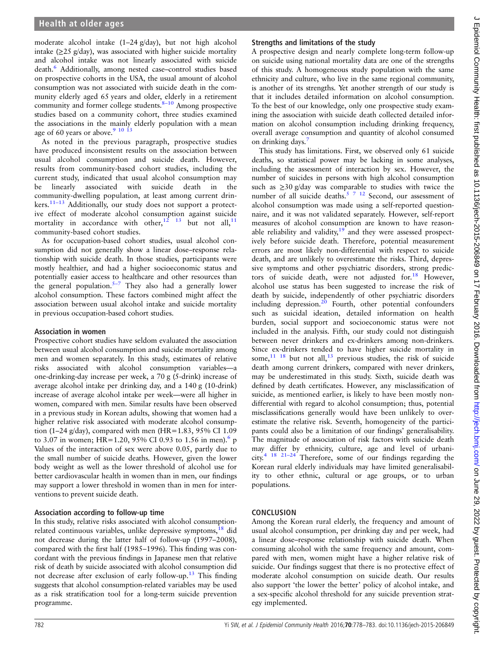moderate alcohol intake (1–24 g/day), but not high alcohol intake  $(\geq 25 \text{ g/day})$ , was associated with higher suicide mortality and alcohol intake was not linearly associated with suicide death.[6](#page-5-0) Additionally, among nested case–control studies based on prospective cohorts in the USA, the usual amount of alcohol consumption was not associated with suicide death in the community elderly aged 65 years and older, elderly in a retirement community and former college students.<sup>8-[10](#page-5-0)</sup> Among prospective studies based on a community cohort, three studies examined the associations in the mainly elderly population with a mean age of 60 years or above.<sup>9 10 13</sup>

As noted in the previous paragraph, prospective studies have produced inconsistent results on the association between usual alcohol consumption and suicide death. However, results from community-based cohort studies, including the current study, indicated that usual alcohol consumption may be linearly associated with suicide death in the community-dwelling population, at least among current drin-kers.<sup>11-[13](#page-5-0)</sup> Additionally, our study does not support a protective effect of moderate alcohol consumption against suicide mortality in accordance with other,<sup>12</sup> <sup>13</sup> but not all,<sup>[11](#page-5-0)</sup> community-based cohort studies.

As for occupation-based cohort studies, usual alcohol consumption did not generally show a linear dose–response relationship with suicide death. In those studies, participants were mostly healthier, and had a higher socioeconomic status and potentially easier access to healthcare and other resources than the general population. $5-7$  They also had a generally lower alcohol consumption. These factors combined might affect the association between usual alcohol intake and suicide mortality in previous occupation-based cohort studies.

### Association in women

Prospective cohort studies have seldom evaluated the association between usual alcohol consumption and suicide mortality among men and women separately. In this study, estimates of relative risks associated with alcohol consumption variables—a one-drinking-day increase per week, a 70 g (5-drink) increase of average alcohol intake per drinking day, and a 140 g (10-drink) increase of average alcohol intake per week—were all higher in women, compared with men. Similar results have been observed in a previous study in Korean adults, showing that women had a higher relative risk associated with moderate alcohol consumption (1–24 g/day), compared with men (HR=1.83, 95% CI 1.09 to 3.07 in women; HR=1.20, 95% CI 0.93 to 1.56 in men).<sup>6</sup> p Values of the interaction of sex were above 0.05, partly due to the small number of suicide deaths. However, given the lower body weight as well as the lower threshold of alcohol use for better cardiovascular health in women than in men, our findings may support a lower threshold in women than in men for interventions to prevent suicide death.

### Association according to follow-up time

In this study, relative risks associated with alcohol consumptionrelated continuous variables, unlike depressive symptoms, $^{18}$  $^{18}$  $^{18}$  did not decrease during the latter half of follow-up (1997–2008), compared with the first half (1985–1996). This finding was concordant with the previous findings in Japanese men that relative risk of death by suicide associated with alcohol consumption did not decrease after exclusion of early follow-up.[13](#page-5-0) This finding suggests that alcohol consumption-related variables may be used as a risk stratification tool for a long-term suicide prevention programme.

### Strengths and limitations of the study

A prospective design and nearly complete long-term follow-up on suicide using national mortality data are one of the strengths of this study. A homogeneous study population with the same ethnicity and culture, who live in the same regional community, is another of its strengths. Yet another strength of our study is that it includes detailed information on alcohol consumption. To the best of our knowledge, only one prospective study examining the association with suicide death collected detailed information on alcohol consumption including drinking frequency, overall average consumption and quantity of alcohol consumed on drinking days.<sup>[7](#page-5-0)</sup>

This study has limitations. First, we observed only 61 suicide deaths, so statistical power may be lacking in some analyses, including the assessment of interaction by sex. However, the number of suicides in persons with high alcohol consumption such as ≥30 g/day was comparable to studies with twice the number of all suicide deaths.<sup>[5 7 12](#page-5-0)</sup> Second, our assessment of alcohol consumption was made using a self-reported questionnaire, and it was not validated separately. However, self-report measures of alcohol consumption are known to have reasonable reliability and validity, $19<sup>-19</sup>$  $19<sup>-19</sup>$  and they were assessed prospectively before suicide death. Therefore, potential measurement errors are most likely non-differential with respect to suicide death, and are unlikely to overestimate the risks. Third, depressive symptoms and other psychiatric disorders, strong predic-tors of suicide death, were not adjusted for.<sup>[18](#page-5-0)</sup> However, alcohol use status has been suggested to increase the risk of death by suicide, independently of other psychiatric disorders including depression.<sup>[20](#page-5-0)</sup> Fourth, other potential confounders such as suicidal ideation, detailed information on health burden, social support and socioeconomic status were not included in the analysis. Fifth, our study could not distinguish between never drinkers and ex-drinkers among non-drinkers. Since ex-drinkers tended to have higher suicide mortality in some,  $11^{18}$  but not all,  $13^{13}$  $13^{13}$  previous studies, the risk of suicide death among current drinkers, compared with never drinkers, may be underestimated in this study. Sixth, suicide death was defined by death certificates. However, any misclassification of suicide, as mentioned earlier, is likely to have been mostly nondifferential with regard to alcohol consumption; thus, potential misclassifications generally would have been unlikely to overestimate the relative risk. Seventh, homogeneity of the participants could also be a limitation of our findings' generalisability. The magnitude of association of risk factors with suicide death may differ by ethnicity, culture, age and level of urbani-city.<sup>[4 18 21](#page-5-0)–24</sup> Therefore, some of our findings regarding the Korean rural elderly individuals may have limited generalisability to other ethnic, cultural or age groups, or to urban populations.

### **CONCLUSION**

Among the Korean rural elderly, the frequency and amount of usual alcohol consumption, per drinking day and per week, had a linear dose–response relationship with suicide death. When consuming alcohol with the same frequency and amount, compared with men, women might have a higher relative risk of suicide. Our findings suggest that there is no protective effect of moderate alcohol consumption on suicide death. Our results also support 'the lower the better' policy of alcohol intake, and a sex-specific alcohol threshold for any suicide prevention strategy implemented.